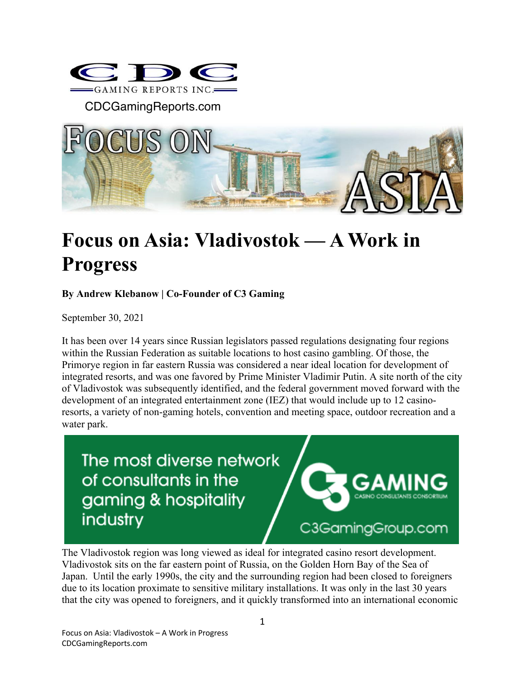

CDCGamingReports.com



## **Focus on Asia: Vladivostok — A Work in Progress**

## **By Andrew Klebanow | Co-Founder of C3 Gaming**

September 30, 2021

It has been over 14 years since Russian legislators passed regulations designating four regions within the Russian Federation as suitable locations to host casino gambling. Of those, the Primorye region in far eastern Russia was considered a near ideal location for development of integrated resorts, and was one favored by Prime Minister Vladimir Putin. A site north of the city of Vladivostok was subsequently identified, and the federal government moved forward with the development of an integrated entertainment zone (IEZ) that would include up to 12 casinoresorts, a variety of non-gaming hotels, convention and meeting space, outdoor recreation and a water park.

The most diverse network of consultants in the gaming & hospitality industry

C3GamingGroup.com

The Vladivostok region was long viewed as ideal for integrated casino resort development. Vladivostok sits on the far eastern point of Russia, on the Golden Horn Bay of the Sea of Japan. Until the early 1990s, the city and the surrounding region had been closed to foreigners due to its location proximate to sensitive military installations. It was only in the last 30 years that the city was opened to foreigners, and it quickly transformed into an international economic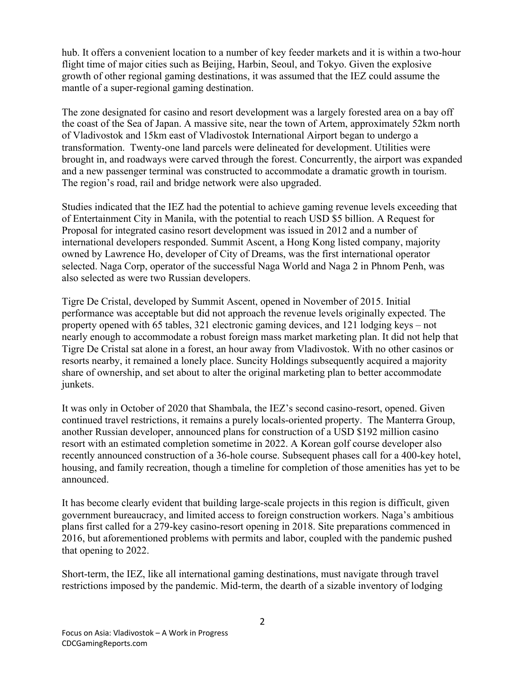hub. It offers a convenient location to a number of key feeder markets and it is within a two-hour flight time of major cities such as Beijing, Harbin, Seoul, and Tokyo. Given the explosive growth of other regional gaming destinations, it was assumed that the IEZ could assume the mantle of a super-regional gaming destination.

The zone designated for casino and resort development was a largely forested area on a bay off the coast of the Sea of Japan. A massive site, near the town of Artem, approximately 52km north of Vladivostok and 15km east of Vladivostok International Airport began to undergo a transformation. Twenty-one land parcels were delineated for development. Utilities were brought in, and roadways were carved through the forest. Concurrently, the airport was expanded and a new passenger terminal was constructed to accommodate a dramatic growth in tourism. The region's road, rail and bridge network were also upgraded.

Studies indicated that the IEZ had the potential to achieve gaming revenue levels exceeding that of Entertainment City in Manila, with the potential to reach USD \$5 billion. A Request for Proposal for integrated casino resort development was issued in 2012 and a number of international developers responded. Summit Ascent, a Hong Kong listed company, majority owned by Lawrence Ho, developer of City of Dreams, was the first international operator selected. Naga Corp, operator of the successful Naga World and Naga 2 in Phnom Penh, was also selected as were two Russian developers.

Tigre De Cristal, developed by Summit Ascent, opened in November of 2015. Initial performance was acceptable but did not approach the revenue levels originally expected. The property opened with 65 tables, 321 electronic gaming devices, and 121 lodging keys – not nearly enough to accommodate a robust foreign mass market marketing plan. It did not help that Tigre De Cristal sat alone in a forest, an hour away from Vladivostok. With no other casinos or resorts nearby, it remained a lonely place. Suncity Holdings subsequently acquired a majority share of ownership, and set about to alter the original marketing plan to better accommodate junkets.

It was only in October of 2020 that Shambala, the IEZ's second casino-resort, opened. Given continued travel restrictions, it remains a purely locals-oriented property. The Manterra Group, another Russian developer, announced plans for construction of a USD \$192 million casino resort with an estimated completion sometime in 2022. A Korean golf course developer also recently announced construction of a 36-hole course. Subsequent phases call for a 400-key hotel, housing, and family recreation, though a timeline for completion of those amenities has yet to be announced.

It has become clearly evident that building large-scale projects in this region is difficult, given government bureaucracy, and limited access to foreign construction workers. Naga's ambitious plans first called for a 279-key casino-resort opening in 2018. Site preparations commenced in 2016, but aforementioned problems with permits and labor, coupled with the pandemic pushed that opening to 2022.

Short-term, the IEZ, like all international gaming destinations, must navigate through travel restrictions imposed by the pandemic. Mid-term, the dearth of a sizable inventory of lodging